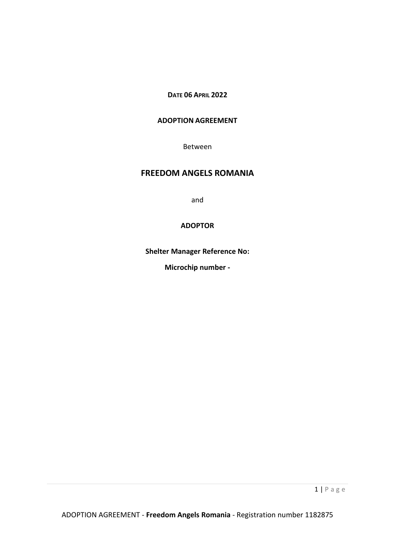# **DATE 06 APRIL 2022**

# **ADOPTION AGREEMENT**

Between

# **FREEDOM ANGELS ROMANIA**

and

## **ADOPTOR**

**Shelter Manager Reference No:**

**Microchip number -**

1 | P a g e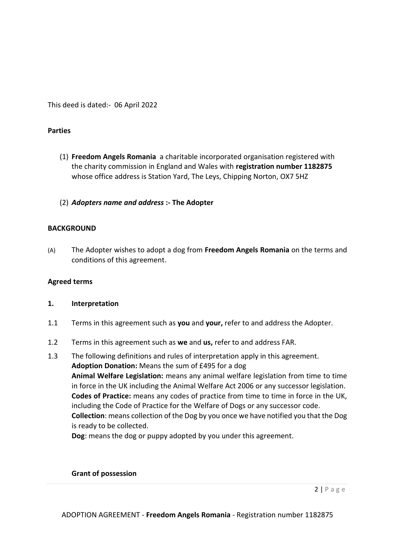This deed is dated:- 06 April 2022

## **Parties**

- (1) **Freedom Angels Romania** a charitable incorporated organisation registered with the charity commission in England and Wales with **registration number 1182875** whose office address is Station Yard, The Leys, Chipping Norton, OX7 5HZ
- (2) *Adopters name and address* **:- The Adopter**

## **BACKGROUND**

(A) The Adopter wishes to adopt a dog from **Freedom Angels Romania** on the terms and conditions of this agreement.

#### **Agreed terms**

#### **1. Interpretation**

- 1.1 Terms in this agreement such as **you** and **your,** refer to and address the Adopter.
- 1.2 Terms in this agreement such as **we** and **us,** refer to and address FAR.
- 1.3 The following definitions and rules of interpretation apply in this agreement. **Adoption Donation:** Means the sum of £495 for a dog **Animal Welfare Legislation:** means any animal welfare legislation from time to time in force in the UK including the Animal Welfare Act 2006 or any successor legislation. **Codes of Practice:** means any codes of practice from time to time in force in the UK, including the Code of Practice for the Welfare of Dogs or any successor code. **Collection**: means collection of the Dog by you once we have notified you that the Dog is ready to be collected.

**Dog**: means the dog or puppy adopted by you under this agreement.

#### **Grant of possession**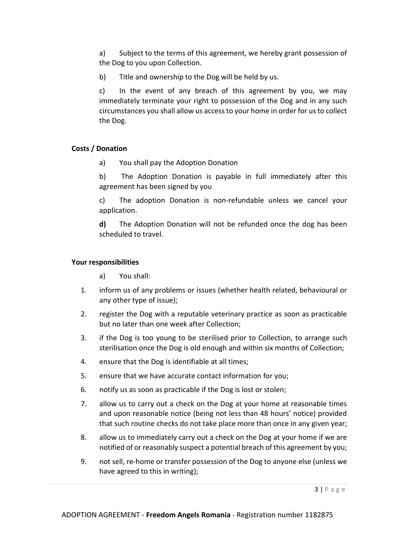a) Subject to the terms of this agreement, we hereby grant possession of the Dog to you upon Collection.

b) Title and ownership to the Dog will be held by us.

c) In the event of any breach of this agreement by you, we may immediately terminate your right to possession of the Dog and in any such circumstances you shall allow us access to your home in order for us to collect the Dog.

# **Costs / Donation**

a) You shall pay the Adoption Donation

b) The Adoption Donation is payable in full immediately after this agreement has been signed by you

c) The adoption Donation is non-refundable unless we cancel your application.

**d)** The Adoption Donation will not be refunded once the dog has been scheduled to travel.

# **Your responsibilities**

a) You shall:

- 1. inform us of any problems or issues (whether health related, behavioural or any other type of issue);
- 2. register the Dog with a reputable veterinary practice as soon as practicable but no later than one week after Collection;
- 3. if the Dog is too young to be sterilised prior to Collection, to arrange such sterilisation once the Dog is old enough and within six months of Collection;
- 4. ensure that the Dog is identifiable at all times;
- 5. ensure that we have accurate contact information for you;
- 6. notify us as soon as practicable if the Dog is lost or stolen;
- 7. allow us to carry out a check on the Dog at your home at reasonable times and upon reasonable notice (being not less than 48 hours' notice) provided that such routine checks do not take place more than once in any given year;
- 8. allow us to immediately carry out a check on the Dog at your home if we are notified of or reasonably suspect a potential breach of this agreement by you;
- 9. not sell, re-home or transfer possession of the Dog to anyone else (unless we have agreed to this in writing);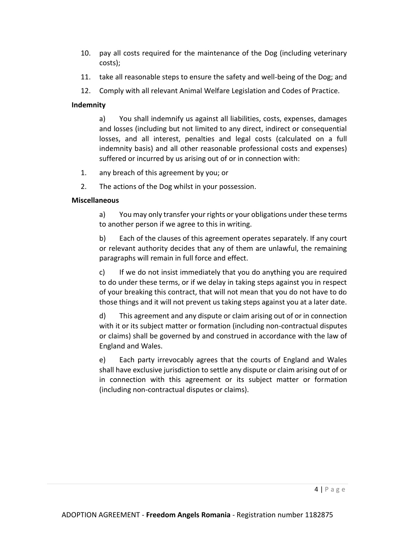- 10. pay all costs required for the maintenance of the Dog (including veterinary costs);
- 11. take all reasonable steps to ensure the safety and well-being of the Dog; and
- 12. Comply with all relevant Animal Welfare Legislation and Codes of Practice.

# **Indemnity**

a) You shall indemnify us against all liabilities, costs, expenses, damages and losses (including but not limited to any direct, indirect or consequential losses, and all interest, penalties and legal costs (calculated on a full indemnity basis) and all other reasonable professional costs and expenses) suffered or incurred by us arising out of or in connection with:

- 1. any breach of this agreement by you; or
- 2. The actions of the Dog whilst in your possession.

# **Miscellaneous**

a) You may only transfer your rights or your obligations under these terms to another person if we agree to this in writing.

b) Each of the clauses of this agreement operates separately. If any court or relevant authority decides that any of them are unlawful, the remaining paragraphs will remain in full force and effect.

c) If we do not insist immediately that you do anything you are required to do under these terms, or if we delay in taking steps against you in respect of your breaking this contract, that will not mean that you do not have to do those things and it will not prevent us taking steps against you at a later date.

d) This agreement and any dispute or claim arising out of or in connection with it or its subject matter or formation (including non-contractual disputes or claims) shall be governed by and construed in accordance with the law of England and Wales.

e) Each party irrevocably agrees that the courts of England and Wales shall have exclusive jurisdiction to settle any dispute or claim arising out of or in connection with this agreement or its subject matter or formation (including non-contractual disputes or claims).